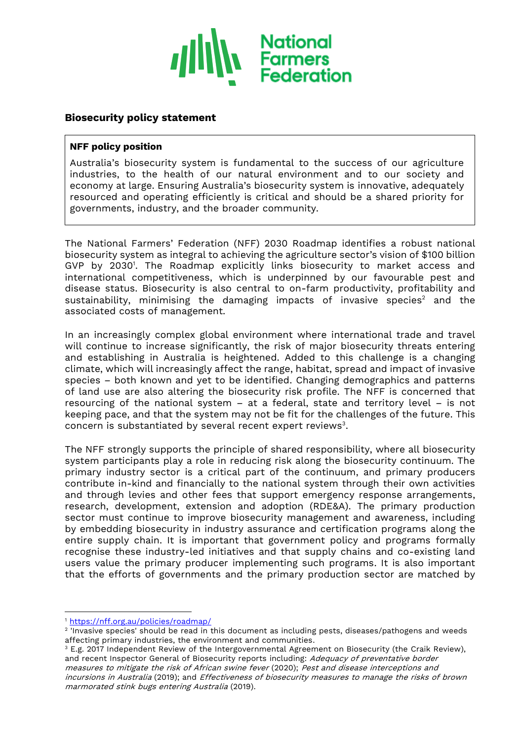

# **Biosecurity policy statement**

#### **NFF policy position**

Australia's biosecurity system is fundamental to the success of our agriculture industries, to the health of our natural environment and to our society and economy at large. Ensuring Australia's biosecurity system is innovative, adequately resourced and operating efficiently is critical and should be a shared priority for governments, industry, and the broader community.

The National Farmers' Federation (NFF) 2030 Roadmap identifies a robust national biosecurity system as integral to achieving the agriculture sector's vision of \$100 billion GVP by 2030<sup>1</sup> . The Roadmap explicitly links biosecurity to market access and international competitiveness, which is underpinned by our favourable pest and disease status. Biosecurity is also central to on-farm productivity, profitability and sustainability, minimising the damaging impacts of invasive species<sup>2</sup> and the associated costs of management.

In an increasingly complex global environment where international trade and travel will continue to increase significantly, the risk of major biosecurity threats entering and establishing in Australia is heightened. Added to this challenge is a changing climate, which will increasingly affect the range, habitat, spread and impact of invasive species – both known and yet to be identified. Changing demographics and patterns of land use are also altering the biosecurity risk profile. The NFF is concerned that resourcing of the national system – at a federal, state and territory level – is not keeping pace, and that the system may not be fit for the challenges of the future. This concern is substantiated by several recent expert reviews $^3$ .

The NFF strongly supports the principle of shared responsibility, where all biosecurity system participants play a role in reducing risk along the biosecurity continuum. The primary industry sector is a critical part of the continuum, and primary producers contribute in-kind and financially to the national system through their own activities and through levies and other fees that support emergency response arrangements, research, development, extension and adoption (RDE&A). The primary production sector must continue to improve biosecurity management and awareness, including by embedding biosecurity in industry assurance and certification programs along the entire supply chain. It is important that government policy and programs formally recognise these industry-led initiatives and that supply chains and co-existing land users value the primary producer implementing such programs. It is also important that the efforts of governments and the primary production sector are matched by

<sup>1</sup> <https://nff.org.au/policies/roadmap/>

<sup>2</sup> 'Invasive species' should be read in this document as including pests, diseases/pathogens and weeds affecting primary industries, the environment and communities.

 $3$  E.g. 2017 Independent Review of the Intergovernmental Agreement on Biosecurity (the Craik Review), and recent Inspector General of Biosecurity reports including: Adequacy of preventative border measures to mitigate the risk of African swine fever (2020); Pest and disease interceptions and incursions in Australia (2019); and Effectiveness of biosecurity measures to manage the risks of brown marmorated stink bugs entering Australia (2019).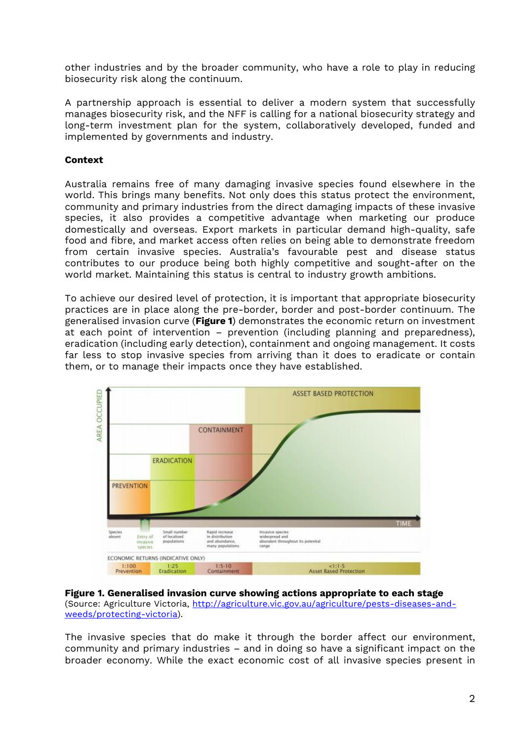other industries and by the broader community, who have a role to play in reducing biosecurity risk along the continuum.

A partnership approach is essential to deliver a modern system that successfully manages biosecurity risk, and the NFF is calling for a national biosecurity strategy and long-term investment plan for the system, collaboratively developed, funded and implemented by governments and industry.

## **Context**

Australia remains free of many damaging invasive species found elsewhere in the world. This brings many benefits. Not only does this status protect the environment, community and primary industries from the direct damaging impacts of these invasive species, it also provides a competitive advantage when marketing our produce domestically and overseas. Export markets in particular demand high-quality, safe food and fibre, and market access often relies on being able to demonstrate freedom from certain invasive species. Australia's favourable pest and disease status contributes to our produce being both highly competitive and sought-after on the world market. Maintaining this status is central to industry growth ambitions.

To achieve our desired level of protection, it is important that appropriate biosecurity practices are in place along the pre-border, border and post-border continuum. The generalised invasion curve (**Figure 1**) demonstrates the economic return on investment at each point of intervention – prevention (including planning and preparedness), eradication (including early detection), containment and ongoing management. It costs far less to stop invasive species from arriving than it does to eradicate or contain them, or to manage their impacts once they have established.



**Figure 1. Generalised invasion curve showing actions appropriate to each stage** (Source: Agriculture Victoria, [http://agriculture.vic.gov.au/agriculture/pests-diseases-and](http://agriculture.vic.gov.au/agriculture/pests-diseases-and-weeds/protecting-victoria)[weeds/protecting-victoria\)](http://agriculture.vic.gov.au/agriculture/pests-diseases-and-weeds/protecting-victoria).

The invasive species that do make it through the border affect our environment, community and primary industries – and in doing so have a significant impact on the broader economy. While the exact economic cost of all invasive species present in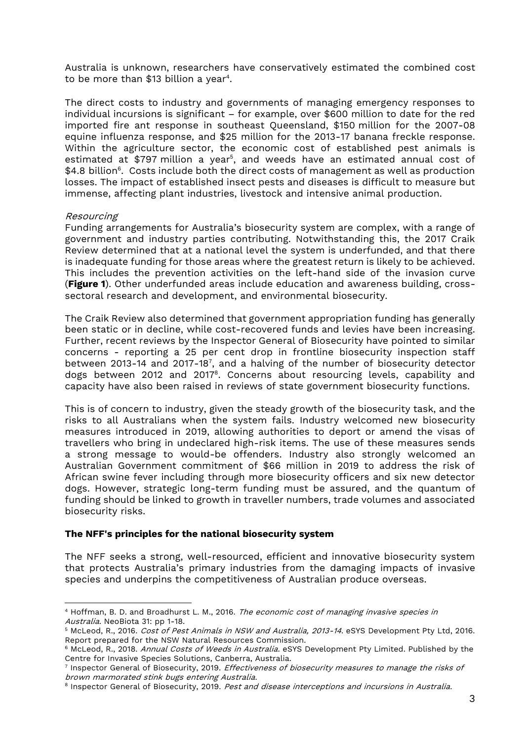Australia is unknown, researchers have conservatively estimated the combined cost to be more than \$13 billion a year $^{\rm 4}.$ 

The direct costs to industry and governments of managing emergency responses to individual incursions is significant – for example, over \$600 million to date for the red imported fire ant response in southeast Queensland, \$150 million for the 2007-08 equine influenza response, and \$25 million for the 2013-17 banana freckle response. Within the agriculture sector, the economic cost of established pest animals is estimated at \$797 million a year<sup>5</sup>, and weeds have an estimated annual cost of  $$4.8\;$ billion $^6$ . Costs include both the direct costs of management as well as production losses. The impact of established insect pests and diseases is difficult to measure but immense, affecting plant industries, livestock and intensive animal production.

### Resourcing

Funding arrangements for Australia's biosecurity system are complex, with a range of government and industry parties contributing. Notwithstanding this, the 2017 Craik Review determined that at a national level the system is underfunded, and that there is inadequate funding for those areas where the greatest return is likely to be achieved. This includes the prevention activities on the left-hand side of the invasion curve (**Figure 1**). Other underfunded areas include education and awareness building, crosssectoral research and development, and environmental biosecurity.

The Craik Review also determined that government appropriation funding has generally been static or in decline, while cost-recovered funds and levies have been increasing. Further, recent reviews by the Inspector General of Biosecurity have pointed to similar concerns - reporting a 25 per cent drop in frontline biosecurity inspection staff between 2013-14 and 2017-18<sup>7</sup> , and a halving of the number of biosecurity detector dogs between 2012 and 2017<sup>8</sup>. Concerns about resourcing levels, capability and capacity have also been raised in reviews of state government biosecurity functions.

This is of concern to industry, given the steady growth of the biosecurity task, and the risks to all Australians when the system fails. Industry welcomed new biosecurity measures introduced in 2019, allowing authorities to deport or amend the visas of travellers who bring in undeclared high-risk items. The use of these measures sends a strong message to would-be offenders. Industry also strongly welcomed an Australian Government commitment of \$66 million in 2019 to address the risk of African swine fever including through more biosecurity officers and six new detector dogs. However, strategic long-term funding must be assured, and the quantum of funding should be linked to growth in traveller numbers, trade volumes and associated biosecurity risks.

#### **The NFF's principles for the national biosecurity system**

The NFF seeks a strong, well-resourced, efficient and innovative biosecurity system that protects Australia's primary industries from the damaging impacts of invasive species and underpins the competitiveness of Australian produce overseas.

<sup>&</sup>lt;sup>4</sup> Hoffman, B. D. and Broadhurst L. M., 2016. The economic cost of managing invasive species in Australia. NeoBiota 31: pp 1-18.

<sup>&</sup>lt;sup>5</sup> McLeod, R., 2016. Cost of Pest Animals in NSW and Australia, 2013-14. eSYS Development Pty Ltd, 2016. Report prepared for the NSW Natural Resources Commission.

<sup>&</sup>lt;sup>6</sup> McLeod, R., 2018. Annual Costs of Weeds in Australia. eSYS Development Pty Limited. Published by the Centre for Invasive Species Solutions, Canberra, Australia.

<sup>&</sup>lt;sup>7</sup> Inspector General of Biosecurity, 2019. *Effectiveness of biosecurity measures to manage the risks of* brown marmorated stink bugs entering Australia.

<sup>&</sup>lt;sup>8</sup> Inspector General of Biosecurity, 2019. *Pest and disease interceptions and incursions in Australia*.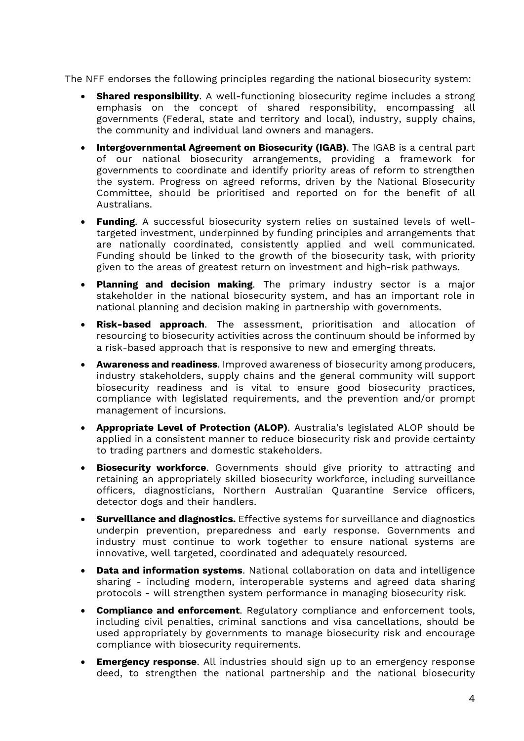The NFF endorses the following principles regarding the national biosecurity system:

- **Shared responsibility**. A well-functioning biosecurity regime includes a strong emphasis on the concept of shared responsibility, encompassing all governments (Federal, state and territory and local), industry, supply chains, the community and individual land owners and managers.
- **Intergovernmental Agreement on Biosecurity (IGAB)**. The IGAB is a central part of our national biosecurity arrangements, providing a framework for governments to coordinate and identify priority areas of reform to strengthen the system. Progress on agreed reforms, driven by the National Biosecurity Committee, should be prioritised and reported on for the benefit of all Australians.
- **Funding**. A successful biosecurity system relies on sustained levels of welltargeted investment, underpinned by funding principles and arrangements that are nationally coordinated, consistently applied and well communicated. Funding should be linked to the growth of the biosecurity task, with priority given to the areas of greatest return on investment and high-risk pathways.
- **Planning and decision making**. The primary industry sector is a major stakeholder in the national biosecurity system, and has an important role in national planning and decision making in partnership with governments.
- **Risk-based approach**. The assessment, prioritisation and allocation of resourcing to biosecurity activities across the continuum should be informed by a risk-based approach that is responsive to new and emerging threats.
- **Awareness and readiness**. Improved awareness of biosecurity among producers, industry stakeholders, supply chains and the general community will support biosecurity readiness and is vital to ensure good biosecurity practices, compliance with legislated requirements, and the prevention and/or prompt management of incursions.
- **Appropriate Level of Protection (ALOP)**. Australia's legislated ALOP should be applied in a consistent manner to reduce biosecurity risk and provide certainty to trading partners and domestic stakeholders.
- **Biosecurity workforce**. Governments should give priority to attracting and retaining an appropriately skilled biosecurity workforce, including surveillance officers, diagnosticians, Northern Australian Quarantine Service officers, detector dogs and their handlers.
- **Surveillance and diagnostics.** Effective systems for surveillance and diagnostics underpin prevention, preparedness and early response. Governments and industry must continue to work together to ensure national systems are innovative, well targeted, coordinated and adequately resourced.
- **Data and information systems**. National collaboration on data and intelligence sharing - including modern, interoperable systems and agreed data sharing protocols - will strengthen system performance in managing biosecurity risk.
- **Compliance and enforcement**. Regulatory compliance and enforcement tools, including civil penalties, criminal sanctions and visa cancellations, should be used appropriately by governments to manage biosecurity risk and encourage compliance with biosecurity requirements.
- **Emergency response**. All industries should sign up to an emergency response deed, to strengthen the national partnership and the national biosecurity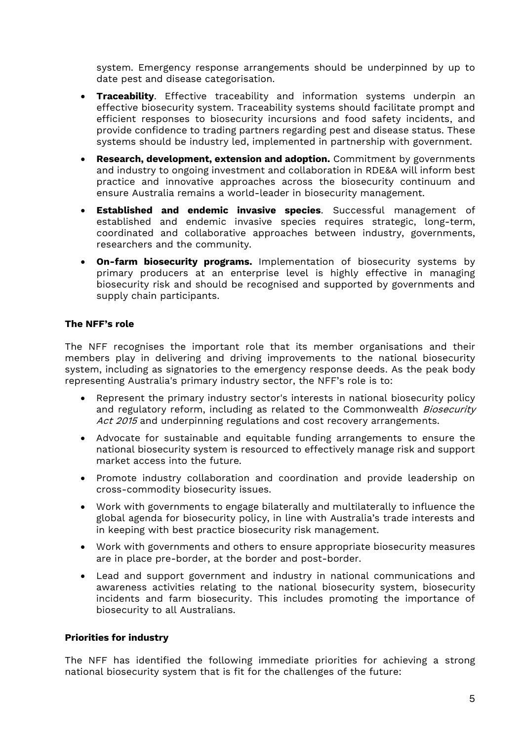system. Emergency response arrangements should be underpinned by up to date pest and disease categorisation.

- **Traceability**. Effective traceability and information systems underpin an effective biosecurity system. Traceability systems should facilitate prompt and efficient responses to biosecurity incursions and food safety incidents, and provide confidence to trading partners regarding pest and disease status. These systems should be industry led, implemented in partnership with government.
- **Research, development, extension and adoption.** Commitment by governments and industry to ongoing investment and collaboration in RDE&A will inform best practice and innovative approaches across the biosecurity continuum and ensure Australia remains a world-leader in biosecurity management.
- **Established and endemic invasive species**. Successful management of established and endemic invasive species requires strategic, long-term, coordinated and collaborative approaches between industry, governments, researchers and the community.
- **On-farm biosecurity programs.** Implementation of biosecurity systems by primary producers at an enterprise level is highly effective in managing biosecurity risk and should be recognised and supported by governments and supply chain participants.

## **The NFF's role**

The NFF recognises the important role that its member organisations and their members play in delivering and driving improvements to the national biosecurity system, including as signatories to the emergency response deeds. As the peak body representing Australia's primary industry sector, the NFF's role is to:

- Represent the primary industry sector's interests in national biosecurity policy and regulatory reform, including as related to the Commonwealth Biosecurity Act 2015 and underpinning regulations and cost recovery arrangements.
- Advocate for sustainable and equitable funding arrangements to ensure the national biosecurity system is resourced to effectively manage risk and support market access into the future.
- Promote industry collaboration and coordination and provide leadership on cross-commodity biosecurity issues.
- Work with governments to engage bilaterally and multilaterally to influence the global agenda for biosecurity policy, in line with Australia's trade interests and in keeping with best practice biosecurity risk management.
- Work with governments and others to ensure appropriate biosecurity measures are in place pre-border, at the border and post-border.
- Lead and support government and industry in national communications and awareness activities relating to the national biosecurity system, biosecurity incidents and farm biosecurity. This includes promoting the importance of biosecurity to all Australians.

### **Priorities for industry**

The NFF has identified the following immediate priorities for achieving a strong national biosecurity system that is fit for the challenges of the future: